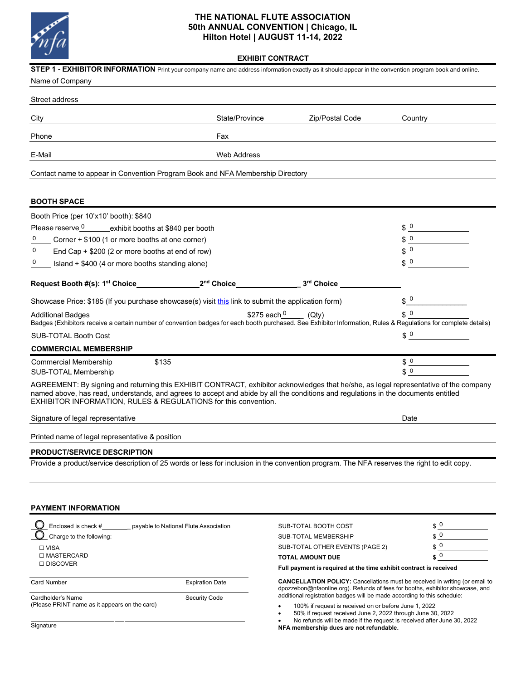

# **THE NATIONAL FLUTE ASSOCIATION 50th ANNUAL CONVENTION | Chicago, IL Hilton Hotel | AUGUST 11-14, 2022**

|  | <b>EXHIBIT CONTRACT</b> |
|--|-------------------------|
|--|-------------------------|

| STEP 1 - EXHIBITOR INFORMATION Print your company name and address information exactly as it should appear in the convention program book and online.<br>Name of Company                                                                                                                                                                       |                        |                                                                                                                                                                                                                                                                          |                                                    |  |  |  |
|------------------------------------------------------------------------------------------------------------------------------------------------------------------------------------------------------------------------------------------------------------------------------------------------------------------------------------------------|------------------------|--------------------------------------------------------------------------------------------------------------------------------------------------------------------------------------------------------------------------------------------------------------------------|----------------------------------------------------|--|--|--|
| Street address                                                                                                                                                                                                                                                                                                                                 |                        |                                                                                                                                                                                                                                                                          |                                                    |  |  |  |
| City                                                                                                                                                                                                                                                                                                                                           | State/Province         | Zip/Postal Code                                                                                                                                                                                                                                                          | Country                                            |  |  |  |
| Phone                                                                                                                                                                                                                                                                                                                                          | Fax                    |                                                                                                                                                                                                                                                                          |                                                    |  |  |  |
|                                                                                                                                                                                                                                                                                                                                                |                        |                                                                                                                                                                                                                                                                          |                                                    |  |  |  |
| E-Mail                                                                                                                                                                                                                                                                                                                                         | <b>Web Address</b>     |                                                                                                                                                                                                                                                                          |                                                    |  |  |  |
| Contact name to appear in Convention Program Book and NFA Membership Directory                                                                                                                                                                                                                                                                 |                        |                                                                                                                                                                                                                                                                          |                                                    |  |  |  |
| <b>BOOTH SPACE</b>                                                                                                                                                                                                                                                                                                                             |                        |                                                                                                                                                                                                                                                                          |                                                    |  |  |  |
| Booth Price (per 10'x10' booth): \$840                                                                                                                                                                                                                                                                                                         |                        |                                                                                                                                                                                                                                                                          |                                                    |  |  |  |
| Please reserve 0 ______ exhibit booths at \$840 per booth                                                                                                                                                                                                                                                                                      |                        |                                                                                                                                                                                                                                                                          | $$^{\circ}$                                        |  |  |  |
| Corner + \$100 (1 or more booths at one corner)                                                                                                                                                                                                                                                                                                |                        |                                                                                                                                                                                                                                                                          | \$0                                                |  |  |  |
| _ End Cap + \$200 (2 or more booths at end of row)                                                                                                                                                                                                                                                                                             |                        | $\frac{1}{2}$                                                                                                                                                                                                                                                            |                                                    |  |  |  |
| 0<br>$\equiv$ Island + \$400 (4 or more booths standing alone)                                                                                                                                                                                                                                                                                 |                        |                                                                                                                                                                                                                                                                          | $\frac{1}{2}$                                      |  |  |  |
| Request Booth #(s): 1 <sup>st</sup> Choice 2 <sup>nd</sup> Choice 2 <sup>nd</sup> Choice 3 <sup>rd</sup> Choice                                                                                                                                                                                                                                |                        |                                                                                                                                                                                                                                                                          |                                                    |  |  |  |
| Showcase Price: \$185 (If you purchase showcase(s) visit this link to submit the application form)                                                                                                                                                                                                                                             |                        |                                                                                                                                                                                                                                                                          | $\mathfrak{s}^0$                                   |  |  |  |
| <b>Additional Badges</b><br>Badges (Exhibitors receive a certain number of convention badges for each booth purchased. See Exhibitor Information, Rules & Regulations for complete details)                                                                                                                                                    | \$275 each $0$         | (Qty)                                                                                                                                                                                                                                                                    | \$0                                                |  |  |  |
| <b>SUB-TOTAL Booth Cost</b>                                                                                                                                                                                                                                                                                                                    |                        |                                                                                                                                                                                                                                                                          | $\delta$ 0                                         |  |  |  |
| <b>COMMERCIAL MEMBERSHIP</b>                                                                                                                                                                                                                                                                                                                   |                        |                                                                                                                                                                                                                                                                          |                                                    |  |  |  |
| <b>Commercial Membership</b><br>\$135                                                                                                                                                                                                                                                                                                          |                        |                                                                                                                                                                                                                                                                          | $$^{0}$<br><u> 1980 - Johann Barbara, martxa a</u> |  |  |  |
| SUB-TOTAL Membership                                                                                                                                                                                                                                                                                                                           |                        |                                                                                                                                                                                                                                                                          | $\mathsf 0$<br>\$                                  |  |  |  |
| AGREEMENT: By signing and returning this EXHIBIT CONTRACT, exhibitor acknowledges that he/she, as legal representative of the company<br>named above, has read, understands, and agrees to accept and abide by all the conditions and regulations in the documents entitled<br>EXHIBITOR INFORMATION, RULES & REGULATIONS for this convention. |                        |                                                                                                                                                                                                                                                                          |                                                    |  |  |  |
| Signature of legal representative                                                                                                                                                                                                                                                                                                              |                        |                                                                                                                                                                                                                                                                          | Date                                               |  |  |  |
| Printed name of legal representative & position                                                                                                                                                                                                                                                                                                |                        |                                                                                                                                                                                                                                                                          |                                                    |  |  |  |
| <b>PRODUCT/SERVICE DESCRIPTION</b>                                                                                                                                                                                                                                                                                                             |                        |                                                                                                                                                                                                                                                                          |                                                    |  |  |  |
| Provide a product/service description of 25 words or less for inclusion in the convention program. The NFA reserves the right to edit copy.                                                                                                                                                                                                    |                        |                                                                                                                                                                                                                                                                          |                                                    |  |  |  |
|                                                                                                                                                                                                                                                                                                                                                |                        |                                                                                                                                                                                                                                                                          |                                                    |  |  |  |
| <b>PAYMENT INFORMATION</b>                                                                                                                                                                                                                                                                                                                     |                        |                                                                                                                                                                                                                                                                          |                                                    |  |  |  |
| Enclosed is check #<br>payable to National Flute Association                                                                                                                                                                                                                                                                                   |                        | SUB-TOTAL BOOTH COST                                                                                                                                                                                                                                                     | $\int 0$                                           |  |  |  |
| Charge to the following:                                                                                                                                                                                                                                                                                                                       |                        | <b>SUB-TOTAL MEMBERSHIP</b>                                                                                                                                                                                                                                              | $\int$ 0                                           |  |  |  |
| $\Box$ VISA                                                                                                                                                                                                                                                                                                                                    |                        | SUB-TOTAL OTHER EVENTS (PAGE 2)                                                                                                                                                                                                                                          | $\frac{1}{2}$ 0                                    |  |  |  |
| □ MASTERCARD<br>□ DISCOVER                                                                                                                                                                                                                                                                                                                     |                        | <b>TOTAL AMOUNT DUE</b>                                                                                                                                                                                                                                                  | $\mathfrak{s}^0$                                   |  |  |  |
|                                                                                                                                                                                                                                                                                                                                                |                        | Full payment is required at the time exhibit contract is received                                                                                                                                                                                                        |                                                    |  |  |  |
| <b>Card Number</b>                                                                                                                                                                                                                                                                                                                             | <b>Expiration Date</b> | <b>CANCELLATION POLICY:</b> Cancellations must be received in writing (or email to<br>dpozzebon@nfaonline.org). Refunds of fees for booths, exhibitor showcase, and                                                                                                      |                                                    |  |  |  |
| Cardholder's Name<br>(Please PRINT name as it appears on the card)                                                                                                                                                                                                                                                                             | <b>Security Code</b>   | additional registration badges will be made according to this schedule:<br>100% if request is received on or before June 1, 2022<br>50% if request received June 2, 2022 through June 30, 2022<br>No refunds will be made if the request is received after June 30, 2022 |                                                    |  |  |  |
| Signature                                                                                                                                                                                                                                                                                                                                      |                        | NFA membership dues are not refundable.                                                                                                                                                                                                                                  |                                                    |  |  |  |